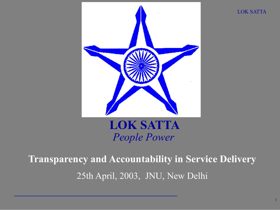

LOK SATTA

1

#### LOK SATTA *People Power*

### Transparency and Accountability in Service Delivery 25th April, 2003, JNU, New Delhi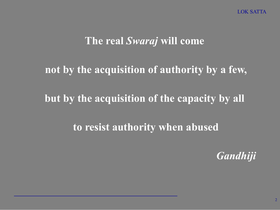#### The real *Swaraj* will come

#### not by the acquisition of authority by a few,

#### but by the acquisition of the capacity by all

#### to resist authority when abused

*Gandhiji*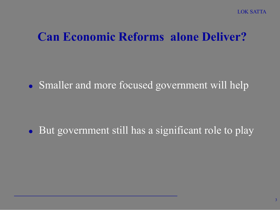#### Can Economic Reforms alone Deliver?

• Smaller and more focused government will help

• But government still has a significant role to play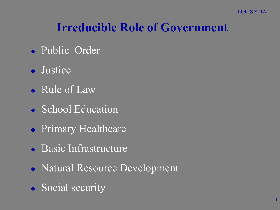### Irreducible Role of Government

- **Public Order**
- Justice
- Rule of Law
- School Education
- **Primary Healthcare**
- Basic Infrastructure
- Natural Resource Development
- Social security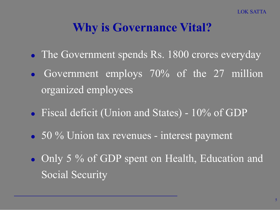#### Why is Governance Vital?

- The Government spends Rs. 1800 crores everyday
- Government employs 70% of the 27 million organized employees
- Fiscal deficit (Union and States) 10% of GDP
- 50 % Union tax revenues interest payment
- Only 5 % of GDP spent on Health, Education and Social Security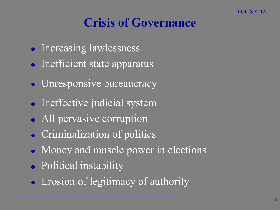### Crisis of Governance

- **Increasing lawlessness**
- Inefficient state apparatus
- Unresponsive bureaucracy
- Ineffective judicial system
- All pervasive corruption
- **Criminalization of politics**
- Money and muscle power in elections
- Political instability
- Erosion of legitimacy of authority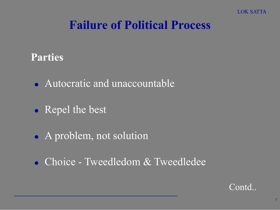#### Failure of Political Process

#### Parties

- Autocratic and unaccountable
- Repel the best
- A problem, not solution
- Choice Tweedledom & Tweedledee

Contd..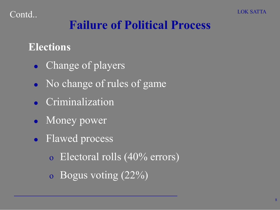### Failure of Political Process

#### Elections

- Change of players
- No change of rules of game
- Criminalization
- Money power
- **·** Flawed process
	- o Electoral rolls (40% errors)
	- o Bogus voting (22%)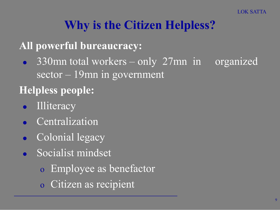### Why is the Citizen Helpless?

#### All powerful bureaucracy:

• 330mn total workers – only 27mn in organized sector – 19mn in government

#### Helpless people:

- Illiteracy
- Centralization
- Colonial legacy
- **Socialist mindset** 
	- o Employee as benefactor
	- o Citizen as recipient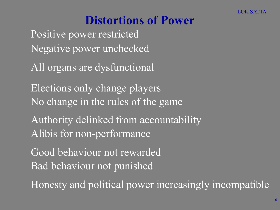### Distortions of Power

Positive power restricted Negative power unchecked

All organs are dysfunctional

Elections only change players No change in the rules of the game

Authority delinked from accountability Alibis for non-performance

Good behaviour not rewarded Bad behaviour not punished

Honesty and political power increasingly incompatible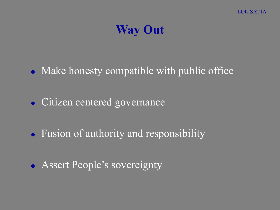### Way Out

- Make honesty compatible with public office
- Citizen centered governance
- Fusion of authority and responsibility
- Assert People's sovereignty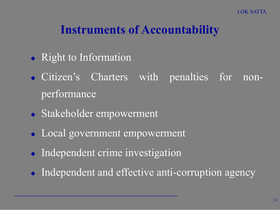#### Instruments of Accountability

- Right to Information
- Citizen's Charters with penalties for nonperformance
- Stakeholder empowerment
- Local government empowerment
- Independent crime investigation
- Independent and effective anti-corruption agency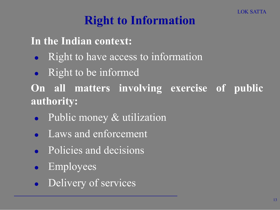### Right to Information

In the Indian context:

- Right to have access to information
- Right to be informed

On all matters involving exercise of public authority:

- Public money & utilization
- **Laws and enforcement**
- **•** Policies and decisions
- Employees
- **•** Delivery of services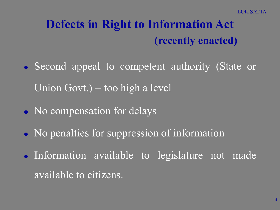### Defects in Right to Information Act (recently enacted)

- Second appeal to competent authority (State or Union Govt.) – too high a level
- No compensation for delays
- No penalties for suppression of information
- Information available to legislature not made available to citizens.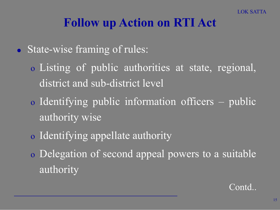#### Follow up Action on RTI Act

• State-wise framing of rules:

- o Listing of public authorities at state, regional, district and sub-district level
- o Identifying public information officers public authority wise
- o Identifying appellate authority
- o Delegation of second appeal powers to a suitable authority

Contd..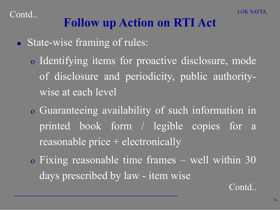### Follow up Action on RTI Act

**State-wise framing of rules:** 

o Identifying items for proactive disclosure, mode of disclosure and periodicity, public authoritywise at each level

- o Guaranteeing availability of such information in printed book form / legible copies for a reasonable price + electronically
- o Fixing reasonable time frames well within 30 days prescribed by law - item wise

Contd..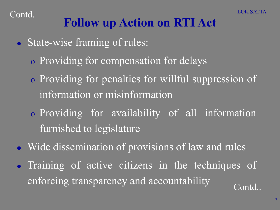

### Follow up Action on RTI Act

- State-wise framing of rules:
	- o Providing for compensation for delays
	- o Providing for penalties for willful suppression of information or misinformation
	- o Providing for availability of all information furnished to legislature
- Wide dissemination of provisions of law and rules
- Training of active citizens in the techniques of enforcing transparency and accountability contd..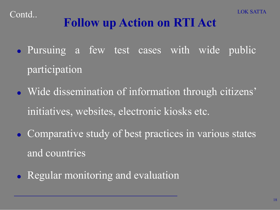## Follow up Action on RTI Act

- Pursuing a few test cases with wide public participation
- Wide dissemination of information through citizens' initiatives, websites, electronic kiosks etc.
- **Comparative study of best practices in various states** and countries
- Regular monitoring and evaluation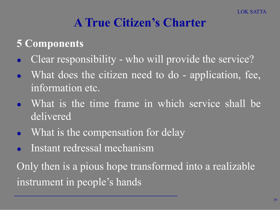#### A True Citizen's Charter

#### 5 Components

- Clear responsibility who will provide the service?
- What does the citizen need to do application, fee, information etc.
- What is the time frame in which service shall be delivered
- What is the compensation for delay
- Instant redressal mechanism

Only then is a pious hope transformed into a realizable instrument in people's hands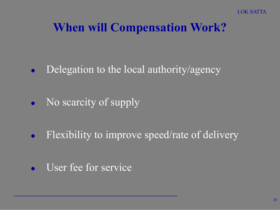### When will Compensation Work?

- Delegation to the local authority/agency
- No scarcity of supply
- Flexibility to improve speed/rate of delivery
- User fee for service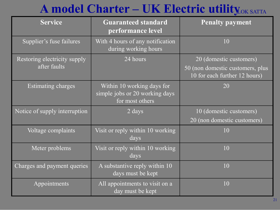### A model Charter – UK Electric utility OK SATTA

| <b>Service</b>                               | <b>Guaranteed standard</b><br>performance level                                 | <b>Penalty payment</b>                                                                       |
|----------------------------------------------|---------------------------------------------------------------------------------|----------------------------------------------------------------------------------------------|
| Supplier's fuse failures                     | With 4 hours of any notification<br>during working hours                        | 10                                                                                           |
| Restoring electricity supply<br>after faults | 24 hours                                                                        | 20 (domestic customers)<br>50 (non domestic customers, plus<br>10 for each further 12 hours) |
| <b>Estimating charges</b>                    | Within 10 working days for<br>simple jobs or 20 working days<br>for most others | 20                                                                                           |
| Notice of supply interruption                | 2 days                                                                          | 10 (domestic customers)<br>20 (non domestic customers)                                       |
| Voltage complaints                           | Visit or reply within 10 working<br>days                                        | 10                                                                                           |
| Meter problems                               | Visit or reply within 10 working<br>days                                        | 10                                                                                           |
| Charges and payment queries                  | A substantive reply within 10<br>days must be kept                              | 10                                                                                           |
| Appointments                                 | All appointments to visit on a<br>day must be kept                              | 10                                                                                           |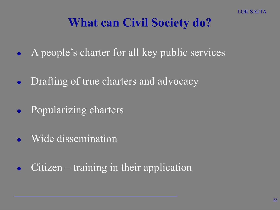### What can Civil Society do?

- A people's charter for all key public services
- Drafting of true charters and advocacy
- Popularizing charters
- Wide dissemination
- Citizen training in their application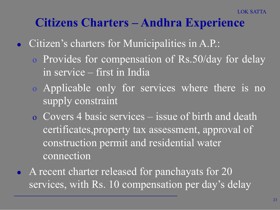#### Citizens Charters – Andhra Experience

- Citizen's charters for Municipalities in A.P.:
	- o Provides for compensation of Rs.50/day for delay in service – first in India
	- o Applicable only for services where there is no supply constraint
	- o Covers 4 basic services issue of birth and death certificates,property tax assessment, approval of construction permit and residential water connection
- A recent charter released for panchayats for 20 services, with Rs. 10 compensation per day's delay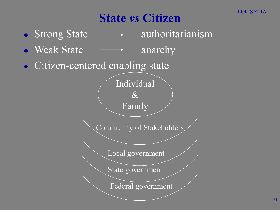### State *vs* Citizen

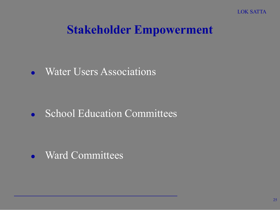#### Stakeholder Empowerment

• Water Users Associations

• School Education Committees

Ward Committees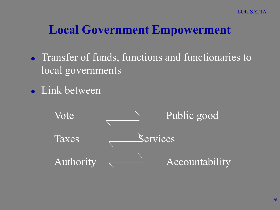#### Local Government Empowerment

- Transfer of funds, functions and functionaries to local governments
- Link between

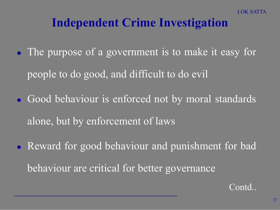#### Independent Crime Investigation

- The purpose of a government is to make it easy for people to do good, and difficult to do evil
- Good behaviour is enforced not by moral standards alone, but by enforcement of laws
- Reward for good behaviour and punishment for bad behaviour are critical for better governance

Contd..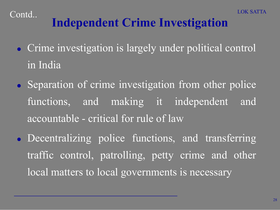## Independent Crime Investigation

- Crime investigation is largely under political control in India
- Separation of crime investigation from other police functions, and making it independent and accountable - critical for rule of law
- Decentralizing police functions, and transferring traffic control, patrolling, petty crime and other local matters to local governments is necessary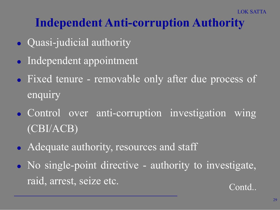### Independent Anti-corruption Authority

- Quasi-judicial authority
- Independent appointment
- Fixed tenure removable only after due process of enquiry
- Control over anti-corruption investigation wing (CBI/ACB)
- Adequate authority, resources and staff
- No single-point directive authority to investigate, raid, arrest, seize etc. Contd..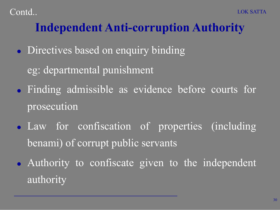### Independent Anti-corruption Authority

• Directives based on enquiry binding

eg: departmental punishment

- Finding admissible as evidence before courts for prosecution
- **Law for confiscation of properties (including** benami) of corrupt public servants
- Authority to confiscate given to the independent authority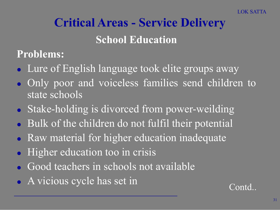### Critical Areas - Service Delivery School Education

Problems:

- Lure of English language took elite groups away
- Only poor and voiceless families send children to state schools
- Stake-holding is divorced from power-weilding
- Bulk of the children do not fulfil their potential
- Raw material for higher education inadequate
- Higher education too in crisis
- Good teachers in schools not available
- A vicious cycle has set in Contd..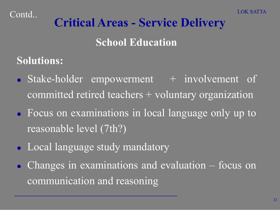## Critical Areas - Service Delivery

School Education

Solutions:

- Stake-holder empowerment  $+$  involvement of committed retired teachers + voluntary organization
- Focus on examinations in local language only up to reasonable level (7th?)
- Local language study mandatory
- Changes in examinations and evaluation focus on communication and reasoning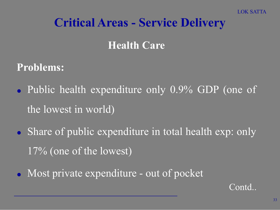#### Critical Areas - Service Delivery

#### **Health Care**

#### Problems:

- Public health expenditure only 0.9% GDP (one of the lowest in world)
- Share of public expenditure in total health exp: only 17% (one of the lowest)
- Most private expenditure out of pocket

Contd..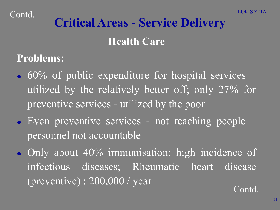# Critical Areas - Service Delivery

#### Health Care

#### Problems:

- $\cdot$  60% of public expenditure for hospital services utilized by the relatively better off; only 27% for preventive services - utilized by the poor
- Even preventive services not reaching people personnel not accountable
- Only about 40% immunisation; high incidence of infectious diseases; Rheumatic heart disease (preventive) : 200,000 / year Contd..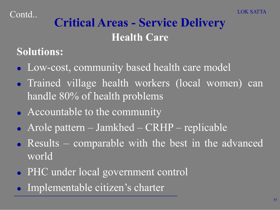### Critical Areas - Service Delivery **Health Care**

#### Solutions:

- Low-cost, community based health care model
- Trained village health workers (local women) can handle 80% of health problems
- Accountable to the community
- Arole pattern Jamkhed CRHP replicable
- Results comparable with the best in the advanced world
- PHC under local government control
- Implementable citizen's charter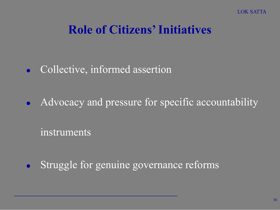### Role of Citizens' Initiatives

- Collective, informed assertion
- Advocacy and pressure for specific accountability

instruments

Struggle for genuine governance reforms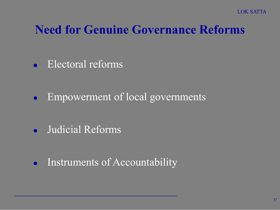#### Need for Genuine Governance Reforms

• Electoral reforms

• Empowerment of local governments

Judicial Reforms

• Instruments of Accountability